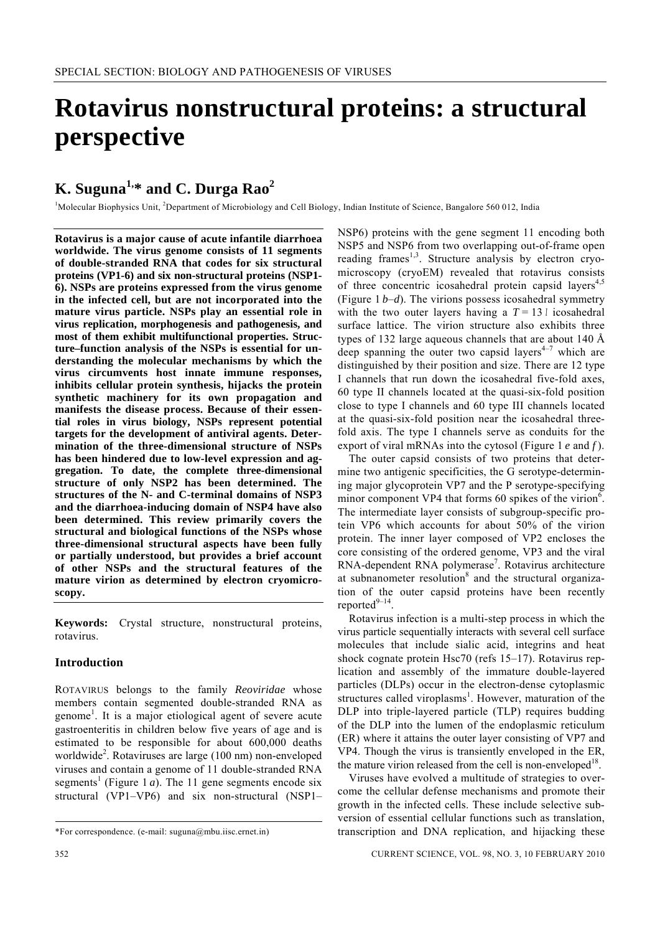# **Rotavirus nonstructural proteins: a structural perspective**

# **K. Suguna1,\* and C. Durga Rao2**

<sup>1</sup>Molecular Biophysics Unit, <sup>2</sup>Department of Microbiology and Cell Biology, Indian Institute of Science, Bangalore 560 012, India

**Rotavirus is a major cause of acute infantile diarrhoea worldwide. The virus genome consists of 11 segments of double-stranded RNA that codes for six structural proteins (VP1-6) and six non-structural proteins (NSP1- 6). NSPs are proteins expressed from the virus genome in the infected cell, but are not incorporated into the mature virus particle. NSPs play an essential role in virus replication, morphogenesis and pathogenesis, and most of them exhibit multifunctional properties. Structure–function analysis of the NSPs is essential for understanding the molecular mechanisms by which the virus circumvents host innate immune responses, inhibits cellular protein synthesis, hijacks the protein synthetic machinery for its own propagation and manifests the disease process. Because of their essential roles in virus biology, NSPs represent potential targets for the development of antiviral agents. Determination of the three-dimensional structure of NSPs has been hindered due to low-level expression and aggregation. To date, the complete three-dimensional structure of only NSP2 has been determined. The structures of the N- and C-terminal domains of NSP3 and the diarrhoea-inducing domain of NSP4 have also been determined. This review primarily covers the structural and biological functions of the NSPs whose three-dimensional structural aspects have been fully or partially understood, but provides a brief account of other NSPs and the structural features of the mature virion as determined by electron cryomicroscopy.** 

**Keywords:** Crystal structure, nonstructural proteins, rotavirus.

#### **Introduction**

ROTAVIRUS belongs to the family *Reoviridae* whose members contain segmented double-stranded RNA as genome<sup>1</sup>. It is a major etiological agent of severe acute gastroenteritis in children below five years of age and is estimated to be responsible for about 600,000 deaths worldwide<sup>2</sup>. Rotaviruses are large (100 nm) non-enveloped viruses and contain a genome of 11 double-stranded RNA segments<sup>1</sup> (Figure 1 *a*). The 11 gene segments encode six structural (VP1–VP6) and six non-structural (NSP1–

NSP6) proteins with the gene segment 11 encoding both NSP5 and NSP6 from two overlapping out-of-frame open reading frames<sup>1,3</sup>. Structure analysis by electron cryomicroscopy (cryoEM) revealed that rotavirus consists of three concentric icosahedral protein capsid layers<sup>4,5</sup> (Figure 1 *b*–*d*). The virions possess icosahedral symmetry with the two outer layers having a  $T = 13$  l icosahedral surface lattice. The virion structure also exhibits three types of 132 large aqueous channels that are about 140 Å deep spanning the outer two capsid layers<sup> $4-7$ </sup> which are distinguished by their position and size. There are 12 type I channels that run down the icosahedral five-fold axes, 60 type II channels located at the quasi-six-fold position close to type I channels and 60 type III channels located at the quasi-six-fold position near the icosahedral threefold axis. The type I channels serve as conduits for the export of viral mRNAs into the cytosol (Figure 1 *e* and *f* ).

 The outer capsid consists of two proteins that determine two antigenic specificities, the G serotype-determining major glycoprotein VP7 and the P serotype-specifying minor component VP4 that forms 60 spikes of the virion<sup>6</sup>. The intermediate layer consists of subgroup-specific protein VP6 which accounts for about 50% of the virion protein. The inner layer composed of VP2 encloses the core consisting of the ordered genome, VP3 and the viral RNA-dependent RNA polymerase<sup>7</sup>. Rotavirus architecture at subnanometer resolution<sup>8</sup> and the structural organization of the outer capsid proteins have been recently reported $9-14$ 

 Rotavirus infection is a multi-step process in which the virus particle sequentially interacts with several cell surface molecules that include sialic acid, integrins and heat shock cognate protein Hsc70 (refs 15–17). Rotavirus replication and assembly of the immature double-layered particles (DLPs) occur in the electron-dense cytoplasmic structures called viroplasms<sup>1</sup>. However, maturation of the DLP into triple-layered particle (TLP) requires budding of the DLP into the lumen of the endoplasmic reticulum (ER) where it attains the outer layer consisting of VP7 and VP4. Though the virus is transiently enveloped in the ER, the mature virion released from the cell is non-enveloped $18$ .

 Viruses have evolved a multitude of strategies to overcome the cellular defense mechanisms and promote their growth in the infected cells. These include selective subversion of essential cellular functions such as translation, transcription and DNA replication, and hijacking these

<sup>\*</sup>For correspondence. (e-mail: suguna@mbu.iisc.ernet.in)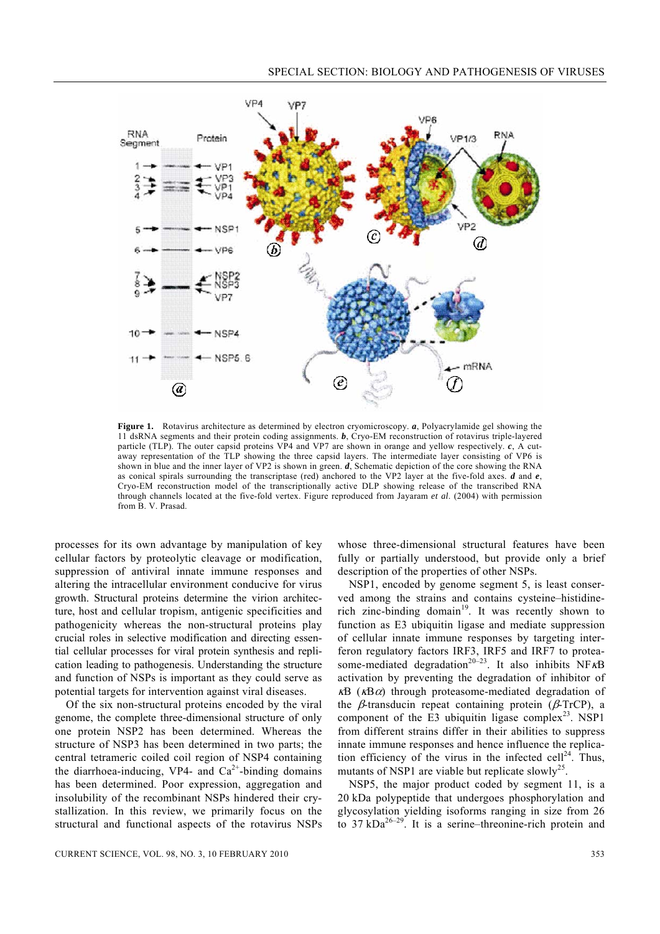

Figure 1. Rotavirus architecture as determined by electron cryomicroscopy. *a*, Polyacrylamide gel showing the 11 dsRNA segments and their protein coding assignments. *b*, Cryo-EM reconstruction of rotavirus triple-layered particle (TLP). The outer capsid proteins VP4 and VP7 are shown in orange and yellow respectively. *c*, A cutaway representation of the TLP showing the three capsid layers. The intermediate layer consisting of VP6 is shown in blue and the inner layer of VP2 is shown in green. *d*, Schematic depiction of the core showing the RNA as conical spirals surrounding the transcriptase (red) anchored to the VP2 layer at the five-fold axes. *d* and *e*, Cryo-EM reconstruction model of the transcriptionally active DLP showing release of the transcribed RNA through channels located at the five-fold vertex. Figure reproduced from Jayaram *et al*. (2004) with permission from B. V. Prasad.

processes for its own advantage by manipulation of key cellular factors by proteolytic cleavage or modification, suppression of antiviral innate immune responses and altering the intracellular environment conducive for virus growth. Structural proteins determine the virion architecture, host and cellular tropism, antigenic specificities and pathogenicity whereas the non-structural proteins play crucial roles in selective modification and directing essential cellular processes for viral protein synthesis and replication leading to pathogenesis. Understanding the structure and function of NSPs is important as they could serve as potential targets for intervention against viral diseases.

 Of the six non-structural proteins encoded by the viral genome, the complete three-dimensional structure of only one protein NSP2 has been determined. Whereas the structure of NSP3 has been determined in two parts; the central tetrameric coiled coil region of NSP4 containing the diarrhoea-inducing, VP4- and  $Ca<sup>2+</sup>$ -binding domains has been determined. Poor expression, aggregation and insolubility of the recombinant NSPs hindered their crystallization. In this review, we primarily focus on the structural and functional aspects of the rotavirus NSPs

whose three-dimensional structural features have been fully or partially understood, but provide only a brief description of the properties of other NSPs.

 NSP1, encoded by genome segment 5, is least conserved among the strains and contains cysteine–histidinerich zinc-binding domain<sup>19</sup>. It was recently shown to function as E3 ubiquitin ligase and mediate suppression of cellular innate immune responses by targeting interferon regulatory factors IRF3, IRF5 and IRF7 to proteasome-mediated degradation<sup>20–23</sup>. It also inhibits NF<sub>KB</sub> activation by preventing the degradation of inhibitor of  $\kappa$ B ( $\kappa$ B $\alpha$ ) through proteasome-mediated degradation of the  $\beta$ -transducin repeat containing protein ( $\beta$ -TrCP), a component of the E3 ubiquitin ligase complex<sup>23</sup>. NSP1 from different strains differ in their abilities to suppress innate immune responses and hence influence the replication efficiency of the virus in the infected cell<sup>24</sup>. Thus, mutants of NSP1 are viable but replicate slowly<sup>25</sup>.

 NSP5, the major product coded by segment 11, is a 20 kDa polypeptide that undergoes phosphorylation and glycosylation yielding isoforms ranging in size from 26 to  $37 \text{ kDa}^{26-29}$ . It is a serine–threonine-rich protein and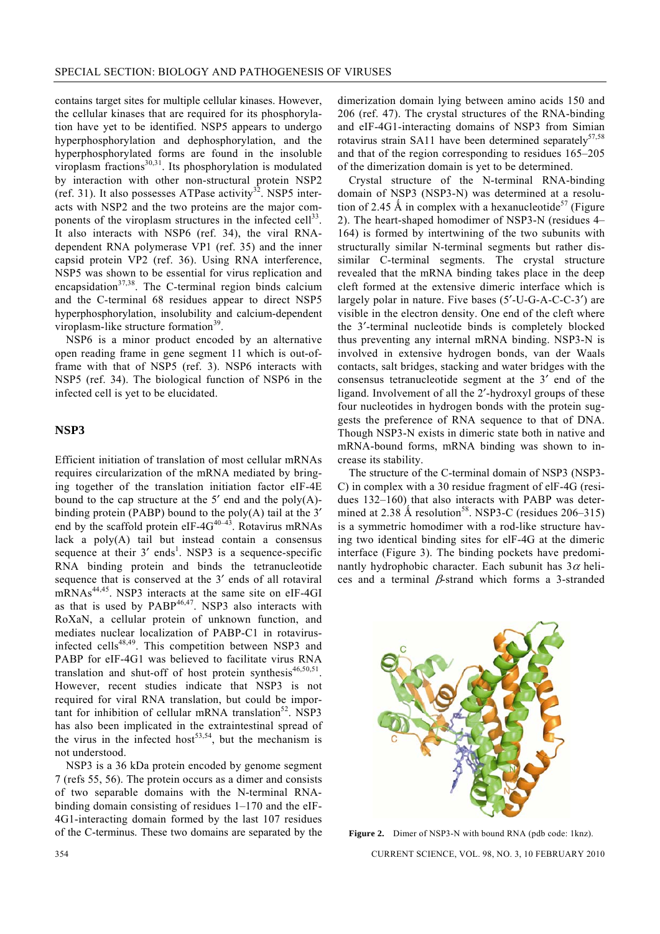contains target sites for multiple cellular kinases. However, the cellular kinases that are required for its phosphorylation have yet to be identified. NSP5 appears to undergo hyperphosphorylation and dephosphorylation, and the hyperphosphorylated forms are found in the insoluble viroplasm fractions $^{30,31}$ . Its phosphorylation is modulated by interaction with other non-structural protein NSP2 (ref. 31). It also possesses ATPase activity<sup>32</sup>. NSP5 interacts with NSP2 and the two proteins are the major components of the viroplasm structures in the infected cell $^{33}$ . It also interacts with NSP6 (ref. 34), the viral RNAdependent RNA polymerase VP1 (ref. 35) and the inner capsid protein VP2 (ref. 36). Using RNA interference, NSP5 was shown to be essential for virus replication and encapsidation $37,38$ . The C-terminal region binds calcium and the C-terminal 68 residues appear to direct NSP5 hyperphosphorylation, insolubility and calcium-dependent viroplasm-like structure formation $39$ .

 NSP6 is a minor product encoded by an alternative open reading frame in gene segment 11 which is out-offrame with that of NSP5 (ref. 3). NSP6 interacts with NSP5 (ref. 34). The biological function of NSP6 in the infected cell is yet to be elucidated.

## **NSP3**

Efficient initiation of translation of most cellular mRNAs requires circularization of the mRNA mediated by bringing together of the translation initiation factor eIF-4E bound to the cap structure at the  $5'$  end and the poly $(A)$ binding protein (PABP) bound to the poly(A) tail at the 3′ end by the scaffold protein eIF-4 $G^{40-43}$ . Rotavirus mRNAs lack a  $poly(A)$  tail but instead contain a consensus sequence at their  $3'$  ends<sup>1</sup>. NSP3 is a sequence-specific RNA binding protein and binds the tetranucleotide sequence that is conserved at the 3′ ends of all rotaviral mRNAs44,45. NSP3 interacts at the same site on eIF-4GI as that is used by  $PABP^{46,47}$ . NSP3 also interacts with RoXaN, a cellular protein of unknown function, and mediates nuclear localization of PABP-C1 in rotavirusinfected cells<sup>48,49</sup>. This competition between NSP3 and PABP for eIF-4G1 was believed to facilitate virus RNA translation and shut-off of host protein synthesis<sup>46,50,51</sup>. However, recent studies indicate that NSP3 is not required for viral RNA translation, but could be important for inhibition of cellular mRNA translation<sup>52</sup>. NSP3 has also been implicated in the extraintestinal spread of the virus in the infected host<sup>53,54</sup>, but the mechanism is not understood.

 NSP3 is a 36 kDa protein encoded by genome segment 7 (refs 55, 56). The protein occurs as a dimer and consists of two separable domains with the N-terminal RNAbinding domain consisting of residues 1–170 and the eIF-4G1-interacting domain formed by the last 107 residues of the C-terminus. These two domains are separated by the dimerization domain lying between amino acids 150 and 206 (ref. 47). The crystal structures of the RNA-binding and eIF-4G1-interacting domains of NSP3 from Simian rotavirus strain SA11 have been determined separately $57,58$ and that of the region corresponding to residues 165–205 of the dimerization domain is yet to be determined.

 Crystal structure of the N-terminal RNA-binding domain of NSP3 (NSP3-N) was determined at a resolution of 2.45 Å in complex with a hexanucleotide<sup>57</sup> (Figure 2). The heart-shaped homodimer of NSP3-N (residues 4– 164) is formed by intertwining of the two subunits with structurally similar N-terminal segments but rather dissimilar C-terminal segments. The crystal structure revealed that the mRNA binding takes place in the deep cleft formed at the extensive dimeric interface which is largely polar in nature. Five bases (5′-U-G-A-C-C-3′) are visible in the electron density. One end of the cleft where the 3′-terminal nucleotide binds is completely blocked thus preventing any internal mRNA binding. NSP3-N is involved in extensive hydrogen bonds, van der Waals contacts, salt bridges, stacking and water bridges with the consensus tetranucleotide segment at the 3′ end of the ligand. Involvement of all the 2′-hydroxyl groups of these four nucleotides in hydrogen bonds with the protein suggests the preference of RNA sequence to that of DNA. Though NSP3-N exists in dimeric state both in native and mRNA-bound forms, mRNA binding was shown to increase its stability.

 The structure of the C-terminal domain of NSP3 (NSP3- C) in complex with a 30 residue fragment of elF-4G (residues 132–160) that also interacts with PABP was determined at  $2.38 \text{ Å}$  resolution<sup>58</sup>. NSP3-C (residues 206–315) is a symmetric homodimer with a rod-like structure having two identical binding sites for elF-4G at the dimeric interface (Figure 3). The binding pockets have predominantly hydrophobic character. Each subunit has  $3\alpha$  helices and a terminal  $\beta$ -strand which forms a 3-stranded



Figure 2. Dimer of NSP3-N with bound RNA (pdb code: 1knz).

354 CURRENT SCIENCE, VOL. 98, NO. 3, 10 FEBRUARY 2010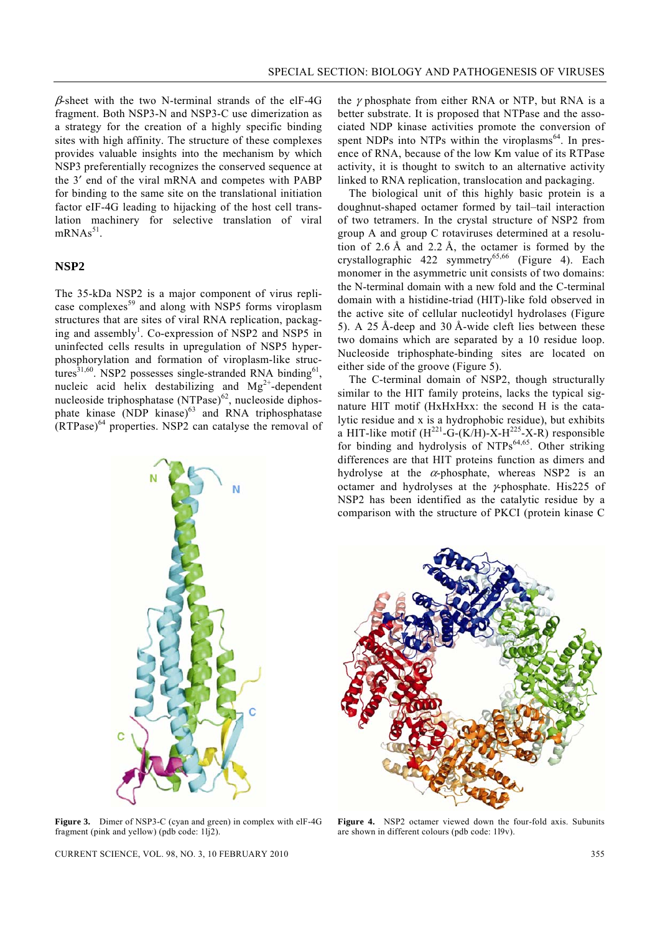$\beta$ -sheet with the two N-terminal strands of the elF-4G fragment. Both NSP3-N and NSP3-C use dimerization as a strategy for the creation of a highly specific binding sites with high affinity. The structure of these complexes provides valuable insights into the mechanism by which NSP3 preferentially recognizes the conserved sequence at the 3′ end of the viral mRNA and competes with PABP for binding to the same site on the translational initiation factor eIF-4G leading to hijacking of the host cell translation machinery for selective translation of viral  $mRNAs<sup>51</sup>$ .

#### **NSP2**

The 35-kDa NSP2 is a major component of virus replicase complexes<sup>59</sup> and along with NSP5 forms viroplasm structures that are sites of viral RNA replication, packaging and assembly<sup>1</sup>. Co-expression of NSP2 and NSP5 in uninfected cells results in upregulation of NSP5 hyperphosphorylation and formation of viroplasm-like structures $^{31,60}$ . NSP2 possesses single-stranded RNA binding<sup>61</sup> nucleic acid helix destabilizing and  $Mg^{2+}$ -dependent nucleoside triphosphatase (NTPase)<sup>62</sup>, nucleoside diphosphate kinase (NDP kinase) $^{63}$  and RNA triphosphatase  $(RTPase)^{64}$  properties. NSP2 can catalyse the removal of

the  $\gamma$  phosphate from either RNA or NTP, but RNA is a better substrate. It is proposed that NTPase and the associated NDP kinase activities promote the conversion of spent NDPs into NTPs within the viroplasms $<sup>64</sup>$ . In pres-</sup> ence of RNA, because of the low Km value of its RTPase activity, it is thought to switch to an alternative activity linked to RNA replication, translocation and packaging.

 The biological unit of this highly basic protein is a doughnut-shaped octamer formed by tail–tail interaction of two tetramers. In the crystal structure of NSP2 from group A and group C rotaviruses determined at a resolution of 2.6 Å and 2.2 Å, the octamer is formed by the crystallographic 422 symmetry<sup>65,66</sup> (Figure 4). Each monomer in the asymmetric unit consists of two domains: the N-terminal domain with a new fold and the C-terminal domain with a histidine-triad (HIT)-like fold observed in the active site of cellular nucleotidyl hydrolases (Figure 5). A 25 Å-deep and 30 Å-wide cleft lies between these two domains which are separated by a 10 residue loop. Nucleoside triphosphate-binding sites are located on either side of the groove (Figure 5).

 The C-terminal domain of NSP2, though structurally similar to the HIT family proteins, lacks the typical signature HIT motif (HxHxHxx: the second H is the catalytic residue and x is a hydrophobic residue), but exhibits a HIT-like motif  $(H^{221} - G - (K/H) - X - H^{225} - X - R)$  responsible for binding and hydrolysis of NTPs<sup>64,65</sup>. Other striking differences are that HIT proteins function as dimers and hydrolyse at the  $\alpha$ -phosphate, whereas NSP2 is an octamer and hydrolyses at the γ-phosphate. His225 of NSP2 has been identified as the catalytic residue by a comparison with the structure of PKCI (protein kinase C



**Figure 3.** Dimer of NSP3-C (cyan and green) in complex with elF-4G fragment (pink and yellow) (pdb code: 1lj2).

**Figure 4.** NSP2 octamer viewed down the four-fold axis. Subunits are shown in different colours (pdb code: 1l9v).

CURRENT SCIENCE, VOL. 98, NO. 3, 10 FEBRUARY 2010 355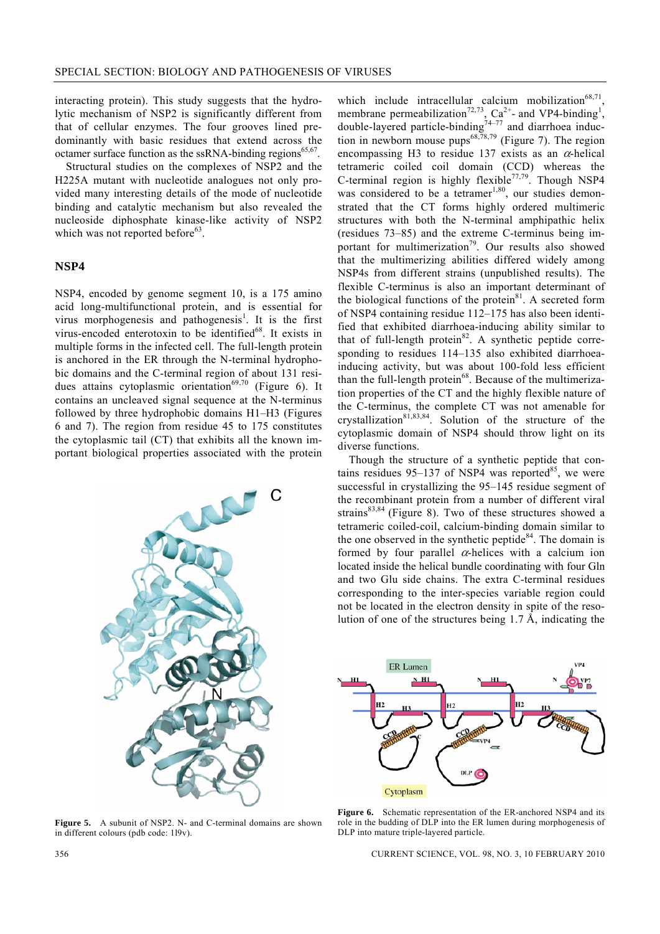interacting protein). This study suggests that the hydrolytic mechanism of NSP2 is significantly different from that of cellular enzymes. The four grooves lined predominantly with basic residues that extend across the octamer surface function as the ssRNA-binding regions<sup>65,67</sup>.

 Structural studies on the complexes of NSP2 and the H225A mutant with nucleotide analogues not only provided many interesting details of the mode of nucleotide binding and catalytic mechanism but also revealed the nucleoside diphosphate kinase-like activity of NSP2 which was not reported before $63$ .

### **NSP4**

NSP4, encoded by genome segment 10, is a 175 amino acid long-multifunctional protein, and is essential for virus morphogenesis and pathogenesis<sup>1</sup>. It is the first virus-encoded enterotoxin to be identified<sup>68</sup>. It exists in multiple forms in the infected cell. The full-length protein is anchored in the ER through the N-terminal hydrophobic domains and the C-terminal region of about 131 residues attains cytoplasmic orientation<sup>69,70</sup> (Figure 6). It contains an uncleaved signal sequence at the N-terminus followed by three hydrophobic domains H1–H3 (Figures 6 and 7). The region from residue 45 to 175 constitutes the cytoplasmic tail (CT) that exhibits all the known important biological properties associated with the protein



**Figure 5.** A subunit of NSP2. N- and C-terminal domains are shown in different colours (pdb code: 1l9v).

which include intracellular calcium mobilization $68,71$ membrane permeabilization<sup>72,73</sup>, Ca<sup>2+</sup>- and VP4-binding<sup>1</sup>, double-layered particle-binding<sup>74–77</sup> and diarrhoea induction in newborn mouse pups<sup>68,78,79</sup> (Figure 7). The region encompassing H3 to residue 137 exists as an  $\alpha$ -helical tetrameric coiled coil domain (CCD) whereas the C-terminal region is highly flexible<sup>77,79</sup>. Though NSP4 was considered to be a tetramer<sup>1,80</sup>, our studies demonstrated that the CT forms highly ordered multimeric structures with both the N-terminal amphipathic helix (residues 73–85) and the extreme C-terminus being important for multimerization<sup>79</sup>. Our results also showed that the multimerizing abilities differed widely among NSP4s from different strains (unpublished results). The flexible C-terminus is also an important determinant of the biological functions of the protein $81$ . A secreted form of NSP4 containing residue 112–175 has also been identified that exhibited diarrhoea-inducing ability similar to that of full-length protein<sup>82</sup>. A synthetic peptide corresponding to residues 114–135 also exhibited diarrhoeainducing activity, but was about 100-fold less efficient than the full-length protein<sup>68</sup>. Because of the multimerization properties of the CT and the highly flexible nature of the C-terminus, the complete CT was not amenable for crystallization<sup>81,83,84</sup>. Solution of the structure of the cytoplasmic domain of NSP4 should throw light on its diverse functions.

 Though the structure of a synthetic peptide that contains residues  $95-137$  of NSP4 was reported<sup>85</sup>, we were successful in crystallizing the 95–145 residue segment of the recombinant protein from a number of different viral strains $83,84$  (Figure 8). Two of these structures showed a tetrameric coiled-coil, calcium-binding domain similar to the one observed in the synthetic peptide<sup>84</sup>. The domain is formed by four parallel  $\alpha$ -helices with a calcium ion located inside the helical bundle coordinating with four Gln and two Glu side chains. The extra C-terminal residues corresponding to the inter-species variable region could not be located in the electron density in spite of the resolution of one of the structures being 1.7 Å, indicating the



Figure 6. Schematic representation of the ER-anchored NSP4 and its role in the budding of DLP into the ER lumen during morphogenesis of DLP into mature triple-layered particle.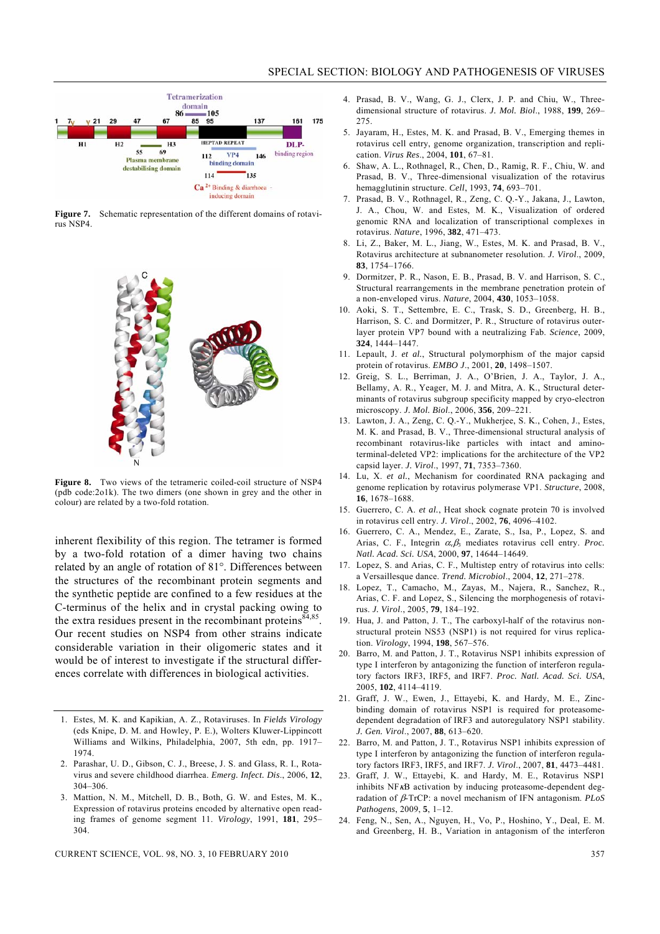

Figure 7. Schematic representation of the different domains of rotavirus NSP4.



**Figure 8.** Two views of the tetrameric coiled-coil structure of NSP4 (pdb code:2o1k). The two dimers (one shown in grey and the other in colour) are related by a two-fold rotation.

inherent flexibility of this region. The tetramer is formed by a two-fold rotation of a dimer having two chains related by an angle of rotation of 81°. Differences between the structures of the recombinant protein segments and the synthetic peptide are confined to a few residues at the C-terminus of the helix and in crystal packing owing to the extra residues present in the recombinant proteins  $84,85$ . Our recent studies on NSP4 from other strains indicate considerable variation in their oligomeric states and it would be of interest to investigate if the structural differences correlate with differences in biological activities.

- 1. Estes, M. K. and Kapikian, A. Z., Rotaviruses. In *Fields Virology* (eds Knipe, D. M. and Howley, P. E.), Wolters Kluwer-Lippincott Williams and Wilkins, Philadelphia, 2007, 5th edn, pp. 1917– 1974.
- 2. Parashar, U. D., Gibson, C. J., Breese, J. S. and Glass, R. I., Rotavirus and severe childhood diarrhea. *Emerg. Infect. Dis*., 2006, **12**, 304–306.
- 3. Mattion, N. M., Mitchell, D. B., Both, G. W. and Estes, M. K., Expression of rotavirus proteins encoded by alternative open reading frames of genome segment 11. *Virology*, 1991, **181**, 295– 304.
- 4. Prasad, B. V., Wang, G. J., Clerx, J. P. and Chiu, W., Threedimensional structure of rotavirus. *J. Mol. Biol*., 1988, **199**, 269– 275.
- 5. Jayaram, H., Estes, M. K. and Prasad, B. V., Emerging themes in rotavirus cell entry, genome organization, transcription and replication. *Virus Res*., 2004, **101**, 67–81.
- 6. Shaw, A. L., Rothnagel, R., Chen, D., Ramig, R. F., Chiu, W. and Prasad, B. V., Three-dimensional visualization of the rotavirus hemagglutinin structure. *Cell*, 1993, **74**, 693–701.
- 7. Prasad, B. V., Rothnagel, R., Zeng, C. Q.-Y., Jakana, J., Lawton, J. A., Chou, W. and Estes, M. K., Visualization of ordered genomic RNA and localization of transcriptional complexes in rotavirus. *Nature*, 1996, **382**, 471–473.
- 8. Li, Z., Baker, M. L., Jiang, W., Estes, M. K. and Prasad, B. V., Rotavirus architecture at subnanometer resolution. *J. Virol*., 2009, **83**, 1754–1766.
- 9. Dormitzer, P. R., Nason, E. B., Prasad, B. V. and Harrison, S. C., Structural rearrangements in the membrane penetration protein of a non-enveloped virus. *Nature*, 2004, **430**, 1053–1058.
- 10. Aoki, S. T., Settembre, E. C., Trask, S. D., Greenberg, H. B., Harrison, S. C. and Dormitzer, P. R., Structure of rotavirus outerlayer protein VP7 bound with a neutralizing Fab. *Science*, 2009, **324**, 1444–1447.
- 11. Lepault, J. *et al.*, Structural polymorphism of the major capsid protein of rotavirus. *EMBO J*., 2001, **20**, 1498–1507.
- 12. Greig, S. L., Berriman, J. A., O'Brien, J. A., Taylor, J. A., Bellamy, A. R., Yeager, M. J. and Mitra, A. K., Structural determinants of rotavirus subgroup specificity mapped by cryo-electron microscopy. *J. Mol. Biol*., 2006, **356**, 209–221.
- 13. Lawton, J. A., Zeng, C. Q.-Y., Mukherjee, S. K., Cohen, J., Estes, M. K. and Prasad, B. V., Three-dimensional structural analysis of recombinant rotavirus-like particles with intact and aminoterminal-deleted VP2: implications for the architecture of the VP2 capsid layer. *J. Virol*., 1997, **71**, 7353–7360.
- 14. Lu, X. *et al.*, Mechanism for coordinated RNA packaging and genome replication by rotavirus polymerase VP1. *Structure*, 2008, **16**, 1678–1688.
- 15. Guerrero, C. A. *et al.*, Heat shock cognate protein 70 is involved in rotavirus cell entry. *J. Virol*., 2002, **76**, 4096–4102.
- 16. Guerrero, C. A., Mendez, E., Zarate, S., Isa, P., Lopez, S. and Arias, C. F., Integrin  $\alpha_{\nu}\beta_3$  mediates rotavirus cell entry. *Proc. Natl. Acad. Sci. USA*, 2000, **97**, 14644–14649.
- 17. Lopez, S. and Arias, C. F., Multistep entry of rotavirus into cells: a Versaillesque dance. *Trend. Microbiol*., 2004, **12**, 271–278.
- 18. Lopez, T., Camacho, M., Zayas, M., Najera, R., Sanchez, R., Arias, C. F. and Lopez, S., Silencing the morphogenesis of rotavirus. *J. Virol*., 2005, **79**, 184–192.
- 19. Hua, J. and Patton, J. T., The carboxyl-half of the rotavirus nonstructural protein NS53 (NSP1) is not required for virus replication. *Virology*, 1994, **198**, 567–576.
- 20. Barro, M. and Patton, J. T., Rotavirus NSP1 inhibits expression of type I interferon by antagonizing the function of interferon regulatory factors IRF3, IRF5, and IRF7. *Proc. Natl. Acad. Sci. USA*, 2005, **102**, 4114–4119.
- 21. Graff, J. W., Ewen, J., Ettayebi, K. and Hardy, M. E., Zincbinding domain of rotavirus NSP1 is required for proteasomedependent degradation of IRF3 and autoregulatory NSP1 stability. *J. Gen. Virol*., 2007, **88**, 613–620.
- 22. Barro, M. and Patton, J. T., Rotavirus NSP1 inhibits expression of type I interferon by antagonizing the function of interferon regulatory factors IRF3, IRF5, and IRF7. *J. Virol*., 2007, **81**, 4473–4481.
- 23. Graff, J. W., Ettayebi, K. and Hardy, M. E., Rotavirus NSP1 inhibits NF<sub>K</sub>B activation by inducing proteasome-dependent degradation of β-TrCP: a novel mechanism of IFN antagonism. *PLoS Pathogens*, 2009, **5**, 1–12.
- 24. Feng, N., Sen, A., Nguyen, H., Vo, P., Hoshino, Y., Deal, E. M. and Greenberg, H. B., Variation in antagonism of the interferon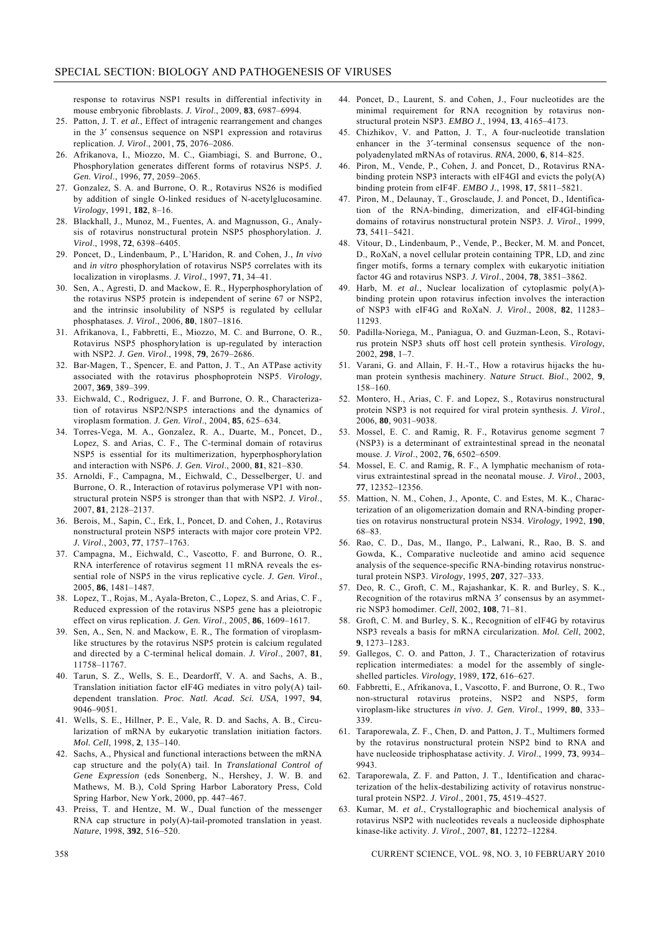response to rotavirus NSP1 results in differential infectivity in mouse embryonic fibroblasts. *J. Virol*., 2009, **83**, 6987–6994.

- 25. Patton, J. T. *et al.*, Effect of intragenic rearrangement and changes in the 3′ consensus sequence on NSP1 expression and rotavirus replication. *J. Virol*., 2001, **75**, 2076–2086.
- 26. Afrikanova, I., Miozzo, M. C., Giambiagi, S. and Burrone, O., Phosphorylation generates different forms of rotavirus NSP5. *J. Gen. Virol*., 1996, **77**, 2059–2065.
- 27. Gonzalez, S. A. and Burrone, O. R., Rotavirus NS26 is modified by addition of single O-linked residues of N-acetylglucosamine. *Virology*, 1991, **182**, 8–16.
- 28. Blackhall, J., Munoz, M., Fuentes, A. and Magnusson, G., Analysis of rotavirus nonstructural protein NSP5 phosphorylation. *J. Virol*., 1998, **72**, 6398–6405.
- 29. Poncet, D., Lindenbaum, P., L'Haridon, R. and Cohen, J., *In vivo*  and *in vitro* phosphorylation of rotavirus NSP5 correlates with its localization in viroplasms. *J. Virol*., 1997, **71**, 34–41.
- 30. Sen, A., Agresti, D. and Mackow, E. R., Hyperphosphorylation of the rotavirus NSP5 protein is independent of serine 67 or NSP2, and the intrinsic insolubility of NSP5 is regulated by cellular phosphatases. *J. Virol*., 2006, **80**, 1807–1816.
- 31. Afrikanova, I., Fabbretti, E., Miozzo, M. C. and Burrone, O. R., Rotavirus NSP5 phosphorylation is up-regulated by interaction with NSP2. *J. Gen. Virol*., 1998, **79**, 2679–2686.
- 32. Bar-Magen, T., Spencer, E. and Patton, J. T., An ATPase activity associated with the rotavirus phosphoprotein NSP5. *Virology*, 2007, **369**, 389–399.
- 33. Eichwald, C., Rodriguez, J. F. and Burrone, O. R., Characterization of rotavirus NSP2/NSP5 interactions and the dynamics of viroplasm formation. *J. Gen. Virol*., 2004, **85**, 625–634.
- 34. Torres-Vega, M. A., Gonzalez, R. A., Duarte, M., Poncet, D., Lopez, S. and Arias, C. F., The C-terminal domain of rotavirus NSP5 is essential for its multimerization, hyperphosphorylation and interaction with NSP6. *J. Gen. Virol*., 2000, **81**, 821–830.
- 35. Arnoldi, F., Campagna, M., Eichwald, C., Desselberger, U. and Burrone, O. R., Interaction of rotavirus polymerase VP1 with nonstructural protein NSP5 is stronger than that with NSP2. *J. Virol*., 2007, **81**, 2128–2137.
- 36. Berois, M., Sapin, C., Erk, I., Poncet, D. and Cohen, J., Rotavirus nonstructural protein NSP5 interacts with major core protein VP2. *J. Virol*., 2003, **77**, 1757–1763.
- 37. Campagna, M., Eichwald, C., Vascotto, F. and Burrone, O. R., RNA interference of rotavirus segment 11 mRNA reveals the essential role of NSP5 in the virus replicative cycle. *J. Gen. Virol*., 2005, **86**, 1481–1487.
- 38. Lopez, T., Rojas, M., Ayala-Breton, C., Lopez, S. and Arias, C. F., Reduced expression of the rotavirus NSP5 gene has a pleiotropic effect on virus replication. *J. Gen. Virol*., 2005, **86**, 1609–1617.
- 39. Sen, A., Sen, N. and Mackow, E. R., The formation of viroplasmlike structures by the rotavirus NSP5 protein is calcium regulated and directed by a C-terminal helical domain. *J. Virol*., 2007, **81**, 11758–11767.
- 40. Tarun, S. Z., Wells, S. E., Deardorff, V. A. and Sachs, A. B., Translation initiation factor eIF4G mediates in vitro poly(A) taildependent translation. *Proc. Natl. Acad. Sci. USA*, 1997, **94**, 9046–9051.
- 41. Wells, S. E., Hillner, P. E., Vale, R. D. and Sachs, A. B., Circularization of mRNA by eukaryotic translation initiation factors. *Mol. Cell*, 1998, **2**, 135–140.
- 42. Sachs, A., Physical and functional interactions between the mRNA cap structure and the poly(A) tail. In *Translational Control of Gene Expression* (eds Sonenberg, N., Hershey, J. W. B. and Mathews, M. B.), Cold Spring Harbor Laboratory Press, Cold Spring Harbor, New York, 2000, pp. 447–467.
- 43. Preiss, T. and Hentze, M. W., Dual function of the messenger RNA cap structure in poly(A)-tail-promoted translation in yeast. *Nature*, 1998, **392**, 516–520.
- 44. Poncet, D., Laurent, S. and Cohen, J., Four nucleotides are the minimal requirement for RNA recognition by rotavirus nonstructural protein NSP3. *EMBO J.*, 1994, **13**, 4165–4173.
- 45. Chizhikov, V. and Patton, J. T., A four-nucleotide translation enhancer in the 3'-terminal consensus sequence of the nonpolyadenylated mRNAs of rotavirus. *RNA*, 2000, **6**, 814–825.
- 46. Piron, M., Vende, P., Cohen, J. and Poncet, D., Rotavirus RNAbinding protein NSP3 interacts with eIF4GI and evicts the poly(A) binding protein from eIF4F. *EMBO J.*, 1998, **17**, 5811–5821.
- 47. Piron, M., Delaunay, T., Grosclaude, J. and Poncet, D., Identification of the RNA-binding, dimerization, and eIF4GI-binding domains of rotavirus nonstructural protein NSP3. *J. Virol*., 1999, **73**, 5411–5421.
- 48. Vitour, D., Lindenbaum, P., Vende, P., Becker, M. M. and Poncet, D., RoXaN, a novel cellular protein containing TPR, LD, and zinc finger motifs, forms a ternary complex with eukaryotic initiation factor 4G and rotavirus NSP3. *J. Virol*., 2004, **78**, 3851–3862.
- 49. Harb, M. *et al.*, Nuclear localization of cytoplasmic poly(A) binding protein upon rotavirus infection involves the interaction of NSP3 with eIF4G and RoXaN. *J. Virol*., 2008, **82**, 11283– 11293.
- 50. Padilla-Noriega, M., Paniagua, O. and Guzman-Leon, S., Rotavirus protein NSP3 shuts off host cell protein synthesis. *Virology*, 2002, **298**, 1–7.
- 51. Varani, G. and Allain, F. H.-T., How a rotavirus hijacks the human protein synthesis machinery. *Nature Struct. Biol*., 2002, **9**, 158–160.
- 52. Montero, H., Arias, C. F. and Lopez, S., Rotavirus nonstructural protein NSP3 is not required for viral protein synthesis. *J. Virol*., 2006, **80**, 9031–9038.
- 53. Mossel, E. C. and Ramig, R. F., Rotavirus genome segment 7 (NSP3) is a determinant of extraintestinal spread in the neonatal mouse. *J. Virol*., 2002, **76**, 6502–6509.
- 54. Mossel, E. C. and Ramig, R. F., A lymphatic mechanism of rotavirus extraintestinal spread in the neonatal mouse. *J. Virol*., 2003, **77**, 12352–12356.
- 55. Mattion, N. M., Cohen, J., Aponte, C. and Estes, M. K., Characterization of an oligomerization domain and RNA-binding properties on rotavirus nonstructural protein NS34. *Virology*, 1992, **190**, 68–83.
- 56. Rao, C. D., Das, M., Ilango, P., Lalwani, R., Rao, B. S. and Gowda, K., Comparative nucleotide and amino acid sequence analysis of the sequence-specific RNA-binding rotavirus nonstructural protein NSP3. *Virology*, 1995, **207**, 327–333.
- 57. Deo, R. C., Groft, C. M., Rajashankar, K. R. and Burley, S. K., Recognition of the rotavirus mRNA 3′ consensus by an asymmetric NSP3 homodimer. *Cell*, 2002, **108**, 71–81.
- 58. Groft, C. M. and Burley, S. K., Recognition of eIF4G by rotavirus NSP3 reveals a basis for mRNA circularization. *Mol. Cell*, 2002, **9**, 1273–1283.
- 59. Gallegos, C. O. and Patton, J. T., Characterization of rotavirus replication intermediates: a model for the assembly of singleshelled particles. *Virology*, 1989, **172**, 616–627.
- 60. Fabbretti, E., Afrikanova, I., Vascotto, F. and Burrone, O. R., Two non-structural rotavirus proteins, NSP2 and NSP5, form viroplasm-like structures *in vivo*. *J. Gen. Virol*., 1999, **80**, 333– 339.
- 61. Taraporewala, Z. F., Chen, D. and Patton, J. T., Multimers formed by the rotavirus nonstructural protein NSP2 bind to RNA and have nucleoside triphosphatase activity. *J. Virol*., 1999, **73**, 9934– 9943.
- 62. Taraporewala, Z. F. and Patton, J. T., Identification and characterization of the helix-destabilizing activity of rotavirus nonstructural protein NSP2. *J. Virol*., 2001, **75**, 4519–4527.
- 63. Kumar, M. *et al.*, Crystallographic and biochemical analysis of rotavirus NSP2 with nucleotides reveals a nucleoside diphosphate kinase-like activity. *J. Virol*., 2007, **81**, 12272–12284.

358 CURRENT SCIENCE, VOL. 98, NO. 3, 10 FEBRUARY 2010